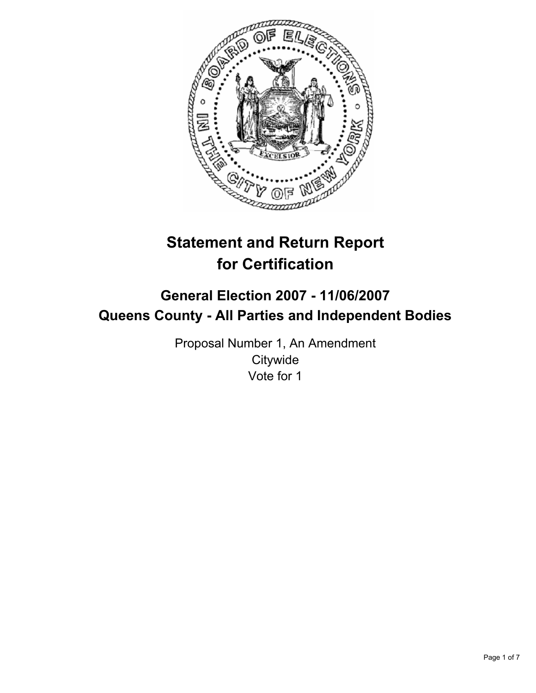

# **Statement and Return Report for Certification**

## **General Election 2007 - 11/06/2007 Queens County - All Parties and Independent Bodies**

Proposal Number 1, An Amendment **Citywide** Vote for 1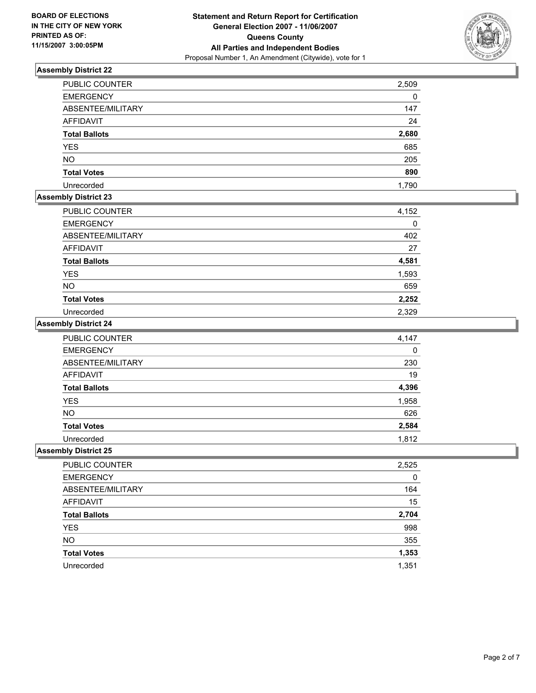

| <b>PUBLIC COUNTER</b> | 2,509 |
|-----------------------|-------|
| <b>EMERGENCY</b>      | 0     |
| ABSENTEE/MILITARY     | 147   |
| AFFIDAVIT             | 24    |
| <b>Total Ballots</b>  | 2,680 |
| <b>YES</b>            | 685   |
| <b>NO</b>             | 205   |
| <b>Total Votes</b>    | 890   |
| Unrecorded            | 1,790 |

## **Assembly District 23**

| PUBLIC COUNTER       | 4,152 |
|----------------------|-------|
| <b>EMERGENCY</b>     |       |
| ABSENTEE/MILITARY    | 402   |
| AFFIDAVIT            | 27    |
| <b>Total Ballots</b> | 4,581 |
| <b>YES</b>           | 1,593 |
| <b>NO</b>            | 659   |
| <b>Total Votes</b>   | 2,252 |
| Unrecorded           | 2,329 |

#### **Assembly District 24**

| PUBLIC COUNTER       | 4,147 |
|----------------------|-------|
| <b>EMERGENCY</b>     | 0     |
| ABSENTEE/MILITARY    | 230   |
| <b>AFFIDAVIT</b>     | 19    |
| <b>Total Ballots</b> | 4,396 |
| <b>YES</b>           | 1,958 |
| <b>NO</b>            | 626   |
| <b>Total Votes</b>   | 2,584 |
| Unrecorded           | 1,812 |

| <b>PUBLIC COUNTER</b> | 2,525 |
|-----------------------|-------|
| <b>EMERGENCY</b>      | 0     |
| ABSENTEE/MILITARY     | 164   |
| AFFIDAVIT             | 15    |
| <b>Total Ballots</b>  | 2,704 |
| <b>YES</b>            | 998   |
| <b>NO</b>             | 355   |
| <b>Total Votes</b>    | 1,353 |
| Unrecorded            | 1,351 |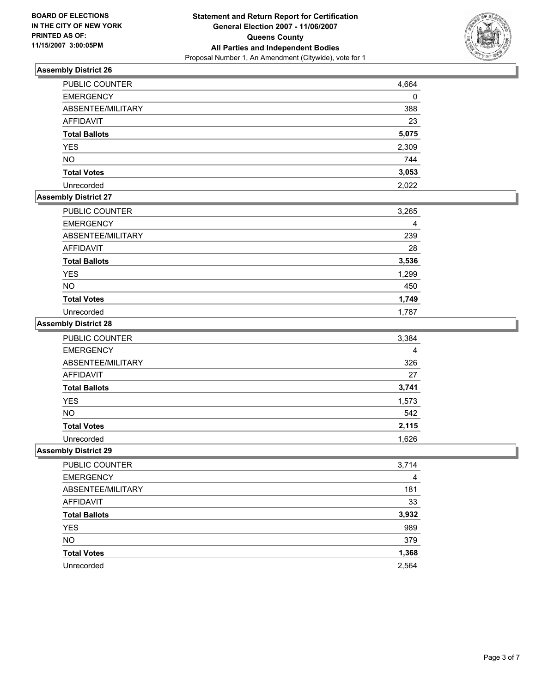

| <b>PUBLIC COUNTER</b> | 4,664 |
|-----------------------|-------|
| <b>EMERGENCY</b>      | 0     |
| ABSENTEE/MILITARY     | 388   |
| AFFIDAVIT             | 23    |
| <b>Total Ballots</b>  | 5,075 |
| <b>YES</b>            | 2,309 |
| <b>NO</b>             | 744   |
| <b>Total Votes</b>    | 3,053 |
| Unrecorded            | 2,022 |

## **Assembly District 27**

| <b>PUBLIC COUNTER</b> | 3,265 |
|-----------------------|-------|
| <b>EMERGENCY</b>      |       |
| ABSENTEE/MILITARY     | 239   |
| AFFIDAVIT             | 28    |
| <b>Total Ballots</b>  | 3,536 |
| <b>YES</b>            | 1,299 |
| <b>NO</b>             | 450   |
| <b>Total Votes</b>    | 1,749 |
| Unrecorded            | 1,787 |

#### **Assembly District 28**

| PUBLIC COUNTER       | 3,384 |
|----------------------|-------|
| <b>EMERGENCY</b>     | 4     |
| ABSENTEE/MILITARY    | 326   |
| <b>AFFIDAVIT</b>     | 27    |
| <b>Total Ballots</b> | 3,741 |
| <b>YES</b>           | 1,573 |
| <b>NO</b>            | 542   |
| <b>Total Votes</b>   | 2,115 |
| Unrecorded           | 1,626 |

| <b>PUBLIC COUNTER</b> | 3,714 |
|-----------------------|-------|
| <b>EMERGENCY</b>      | 4     |
| ABSENTEE/MILITARY     | 181   |
| AFFIDAVIT             | 33    |
| <b>Total Ballots</b>  | 3,932 |
| <b>YES</b>            | 989   |
| <b>NO</b>             | 379   |
| <b>Total Votes</b>    | 1,368 |
| Unrecorded            | 2,564 |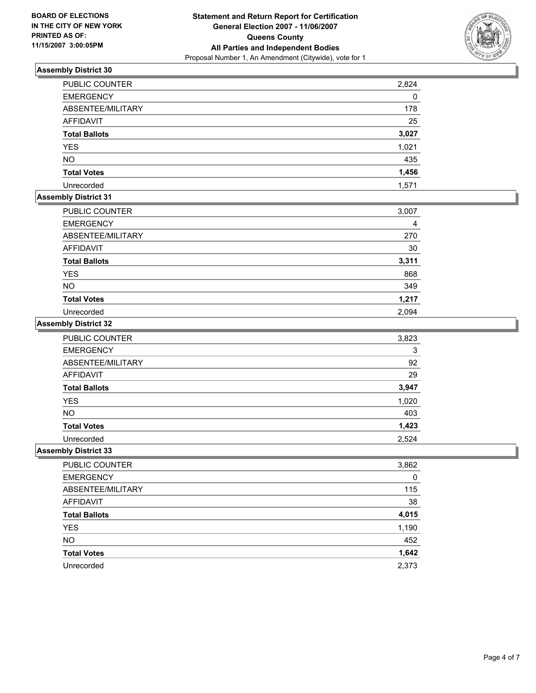

| <b>PUBLIC COUNTER</b> | 2,824 |
|-----------------------|-------|
| <b>EMERGENCY</b>      | 0     |
| ABSENTEE/MILITARY     | 178   |
| AFFIDAVIT             | 25    |
| <b>Total Ballots</b>  | 3,027 |
| <b>YES</b>            | 1,021 |
| <b>NO</b>             | 435   |
| <b>Total Votes</b>    | 1,456 |
| Unrecorded            | 1,571 |

## **Assembly District 31**

| PUBLIC COUNTER       | 3,007 |
|----------------------|-------|
| <b>EMERGENCY</b>     |       |
| ABSENTEE/MILITARY    | 270   |
| AFFIDAVIT            | 30    |
| <b>Total Ballots</b> | 3,311 |
| <b>YES</b>           | 868   |
| <b>NO</b>            | 349   |
| <b>Total Votes</b>   | 1,217 |
| Unrecorded           | 2,094 |

#### **Assembly District 32**

| PUBLIC COUNTER       | 3,823 |
|----------------------|-------|
| <b>EMERGENCY</b>     | 3     |
| ABSENTEE/MILITARY    | 92    |
| <b>AFFIDAVIT</b>     | 29    |
| <b>Total Ballots</b> | 3,947 |
| <b>YES</b>           | 1,020 |
| <b>NO</b>            | 403   |
| <b>Total Votes</b>   | 1,423 |
| Unrecorded           | 2,524 |

| 3,862 |
|-------|
| 0     |
| 115   |
| 38    |
| 4,015 |
| 1,190 |
| 452   |
| 1,642 |
| 2,373 |
|       |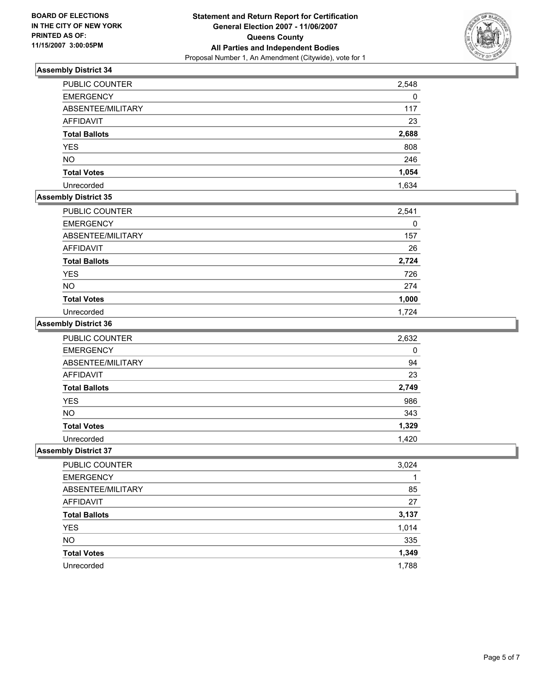

| <b>PUBLIC COUNTER</b> | 2,548 |
|-----------------------|-------|
| <b>EMERGENCY</b>      | 0     |
| ABSENTEE/MILITARY     | 117   |
| AFFIDAVIT             | 23    |
| <b>Total Ballots</b>  | 2,688 |
| <b>YES</b>            | 808   |
| <b>NO</b>             | 246   |
| <b>Total Votes</b>    | 1,054 |
| Unrecorded            | 1,634 |

## **Assembly District 35**

| PUBLIC COUNTER       | 2,541 |
|----------------------|-------|
| <b>EMERGENCY</b>     | 0     |
| ABSENTEE/MILITARY    | 157   |
| AFFIDAVIT            | 26    |
| <b>Total Ballots</b> | 2,724 |
| <b>YES</b>           | 726   |
| <b>NO</b>            | 274   |
| <b>Total Votes</b>   | 1,000 |
| Unrecorded           | 1.724 |

#### **Assembly District 36**

| PUBLIC COUNTER       | 2,632 |
|----------------------|-------|
| <b>EMERGENCY</b>     | 0     |
| ABSENTEE/MILITARY    | 94    |
| <b>AFFIDAVIT</b>     | 23    |
| <b>Total Ballots</b> | 2,749 |
| <b>YES</b>           | 986   |
| <b>NO</b>            | 343   |
| <b>Total Votes</b>   | 1,329 |
| Unrecorded           | 1,420 |

| PUBLIC COUNTER       | 3,024 |
|----------------------|-------|
| <b>EMERGENCY</b>     |       |
| ABSENTEE/MILITARY    | 85    |
| AFFIDAVIT            | 27    |
| <b>Total Ballots</b> | 3,137 |
| <b>YES</b>           | 1,014 |
| <b>NO</b>            | 335   |
| <b>Total Votes</b>   | 1,349 |
| Unrecorded           | 1,788 |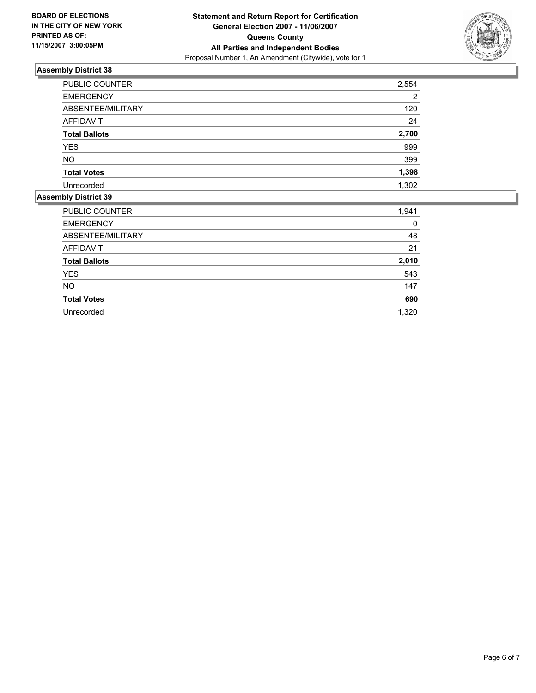

| PUBLIC COUNTER       | 2,554 |
|----------------------|-------|
| <b>EMERGENCY</b>     | っ     |
| ABSENTEE/MILITARY    | 120   |
| AFFIDAVIT            | 24    |
| <b>Total Ballots</b> | 2,700 |
| <b>YES</b>           | 999   |
| <b>NO</b>            | 399   |
| <b>Total Votes</b>   | 1,398 |
| Unrecorded           | 1,302 |

| <b>PUBLIC COUNTER</b> | 1,941 |
|-----------------------|-------|
| <b>EMERGENCY</b>      | 0     |
| ABSENTEE/MILITARY     | 48    |
| AFFIDAVIT             | 21    |
| <b>Total Ballots</b>  | 2,010 |
| <b>YES</b>            | 543   |
| <b>NO</b>             | 147   |
| <b>Total Votes</b>    | 690   |
| Unrecorded            | 1,320 |